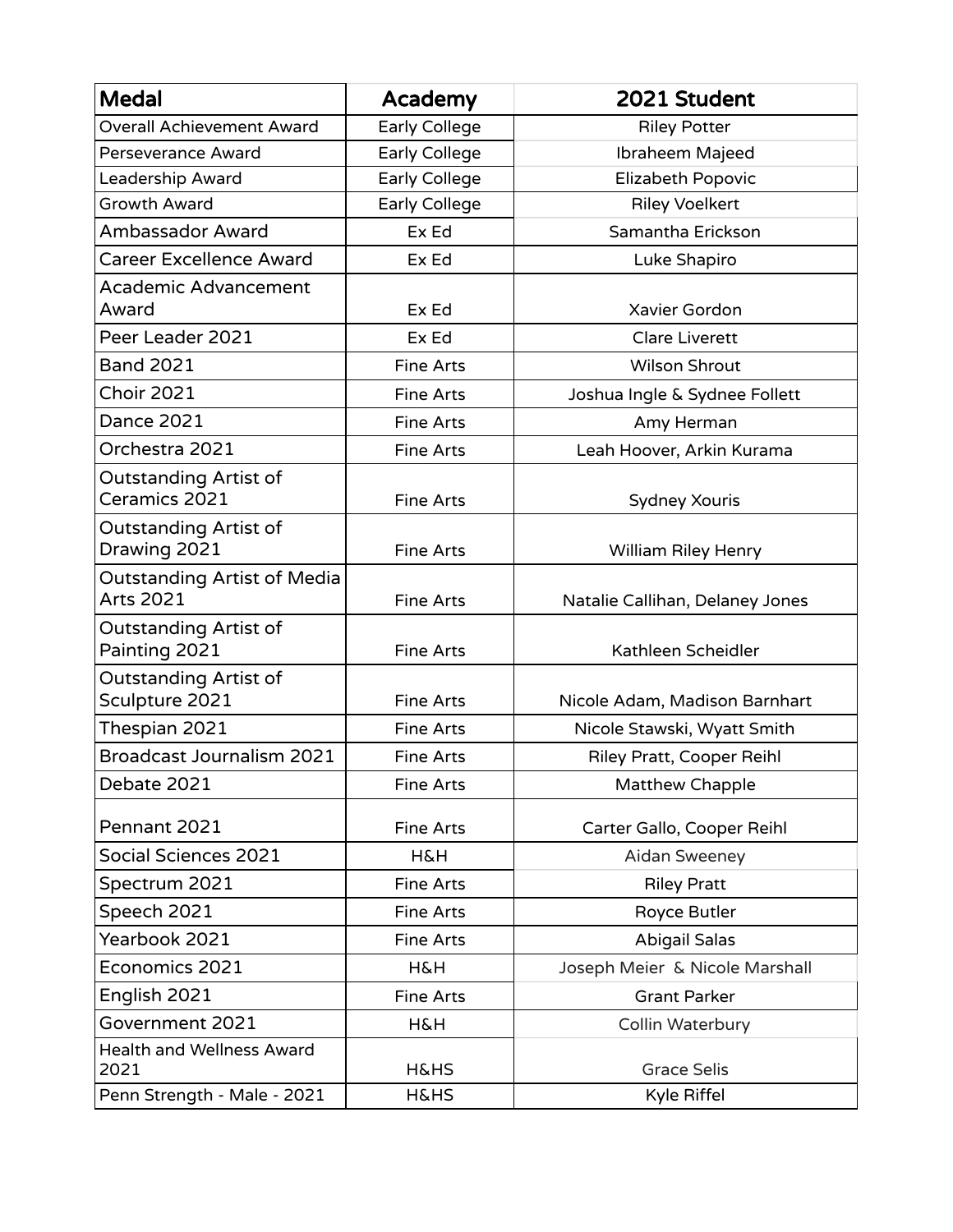| <b>Medal</b>                                           | Academy              | 2021 Student                    |
|--------------------------------------------------------|----------------------|---------------------------------|
| <b>Overall Achievement Award</b>                       | Early College        | <b>Riley Potter</b>             |
| Perseverance Award                                     | <b>Early College</b> | Ibraheem Majeed                 |
| Leadership Award                                       | <b>Early College</b> | Elizabeth Popovic               |
| Growth Award                                           | Early College        | <b>Riley Voelkert</b>           |
| Ambassador Award                                       | Ex Ed                | Samantha Erickson               |
| <b>Career Excellence Award</b>                         | Ex Ed                | Luke Shapiro                    |
| <b>Academic Advancement</b>                            |                      |                                 |
| Award                                                  | Ex Ed                | Xavier Gordon                   |
| Peer Leader 2021                                       | Ex Ed                | <b>Clare Liverett</b>           |
| <b>Band 2021</b>                                       | <b>Fine Arts</b>     | <b>Wilson Shrout</b>            |
| <b>Choir 2021</b>                                      | <b>Fine Arts</b>     | Joshua Ingle & Sydnee Follett   |
| <b>Dance 2021</b>                                      | <b>Fine Arts</b>     | Amy Herman                      |
| Orchestra 2021                                         | <b>Fine Arts</b>     | Leah Hoover, Arkin Kurama       |
| <b>Outstanding Artist of</b><br>Ceramics 2021          | <b>Fine Arts</b>     | Sydney Xouris                   |
| <b>Outstanding Artist of</b><br>Drawing 2021           | <b>Fine Arts</b>     | William Riley Henry             |
| <b>Outstanding Artist of Media</b><br><b>Arts 2021</b> | <b>Fine Arts</b>     | Natalie Callihan, Delaney Jones |
| <b>Outstanding Artist of</b><br>Painting 2021          | Fine Arts            | Kathleen Scheidler              |
| <b>Outstanding Artist of</b><br>Sculpture 2021         | <b>Fine Arts</b>     | Nicole Adam, Madison Barnhart   |
| Thespian 2021                                          | <b>Fine Arts</b>     | Nicole Stawski, Wyatt Smith     |
| <b>Broadcast Journalism 2021</b>                       | <b>Fine Arts</b>     | Riley Pratt, Cooper Reihl       |
| Debate 2021                                            | <b>Fine Arts</b>     | <b>Matthew Chapple</b>          |
| Pennant 2021                                           | <b>Fine Arts</b>     | Carter Gallo, Cooper Reihl      |
| Social Sciences 2021                                   | <b>H&amp;H</b>       | Aidan Sweeney                   |
| Spectrum 2021                                          | <b>Fine Arts</b>     | <b>Riley Pratt</b>              |
| Speech 2021                                            | <b>Fine Arts</b>     | Royce Butler                    |
| Yearbook 2021                                          | <b>Fine Arts</b>     | <b>Abigail Salas</b>            |
| Economics 2021                                         | <b>H&amp;H</b>       | Joseph Meier & Nicole Marshall  |
| English 2021                                           | <b>Fine Arts</b>     | <b>Grant Parker</b>             |
| Government 2021                                        | <b>H&amp;H</b>       | Collin Waterbury                |
| <b>Health and Wellness Award</b><br>2021               | <b>H&amp;HS</b>      | <b>Grace Selis</b>              |
| Penn Strength - Male - 2021                            | <b>H&amp;HS</b>      | Kyle Riffel                     |